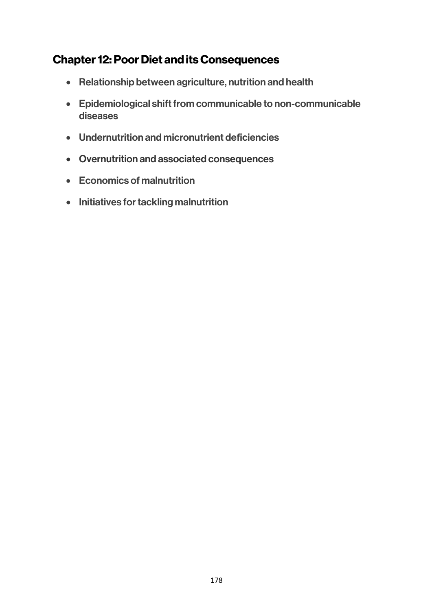# Chapter 12: Poor Diet and its Consequences

- Relationship between agriculture, nutrition and health
- Epidemiological shift from communicable to non-communicable diseases
- Undernutrition and micronutrient deficiencies
- Overnutrition and associated consequences
- Economics of malnutrition
- Initiatives for tackling malnutrition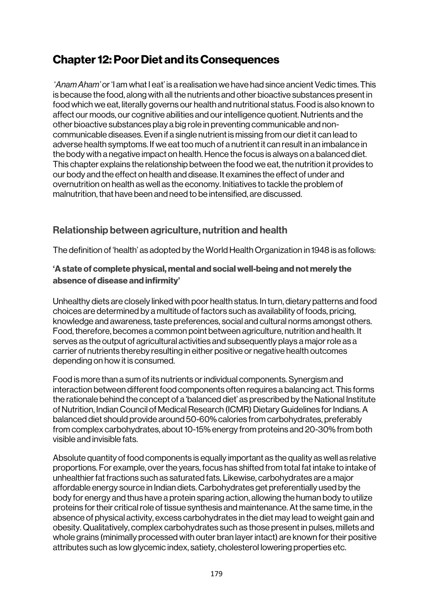# Chapter 12: Poor Diet and its Consequences

'*Anam Aham'* or 'I am what I eat' is a realisation we have had since ancient Vedic times. This is because the food, along with all the nutrients and other bioactive substances present in food which we eat, literally governs our health and nutritional status. Food is also known to affect our moods, our cognitive abilities and our intelligence quotient. Nutrients and the other bioactive substances play a big role in preventing communicable and noncommunicable diseases. Even if a single nutrient is missing from our diet it can lead to adverse health symptoms. If we eat too much of a nutrient it can result in an imbalance in the body with a negative impact on health. Hence the focus is always on a balanced diet. This chapter explains the relationship between the food we eat, the nutrition it provides to our body and the effect on health and disease. It examines the effect of under and overnutrition on health as well as the economy. Initiatives to tackle the problem of malnutrition, that have been and need to be intensified, are discussed.

# Relationship between agriculture, nutrition and health

The definition of 'health' as adopted by the World Health Organization in 1948 is as follows:

### 'A state of complete physical, mental and social well-being and not merely the absence of disease and infirmity'

Unhealthy diets are closely linked with poor health status. In turn, dietary patterns and food choices are determined by a multitude of factors such as availability of foods, pricing, knowledge and awareness, taste preferences, social and cultural norms amongst others. Food, therefore, becomes a common point between agriculture, nutrition and health. It serves as the output of agricultural activities and subsequently plays a major role as a carrier of nutrients thereby resulting in either positive or negative health outcomes depending on how it is consumed.

Food is more than a sum of its nutrients or individual components. Synergism and interaction between different food components often requires a balancing act. This forms the rationale behind the concept of a 'balanced diet' as prescribed by the National Institute of Nutrition, Indian Council of Medical Research (ICMR) Dietary Guidelines for Indians. A balanced diet should provide around 50-60% calories from carbohydrates, preferably from complex carbohydrates, about 10-15% energy from proteins and 20-30% from both visible and invisible fats.

Absolute quantity of food components is equally important as the quality as well as relative proportions. For example, over the years, focus has shifted from total fat intake to intake of unhealthier fat fractions such as saturated fats. Likewise, carbohydrates are a major affordable energy source in Indian diets. Carbohydrates get preferentially used by the body for energy and thus have a protein sparing action, allowing the human body to utilize proteins for their critical role of tissue synthesis and maintenance. At the same time, in the absence of physical activity, excess carbohydrates in the diet may lead to weight gain and obesity. Qualitatively, complex carbohydrates such as those present in pulses, millets and whole grains (minimally processed with outer bran layer intact) are known for their positive attributes such as low glycemic index, satiety, cholesterol lowering properties etc.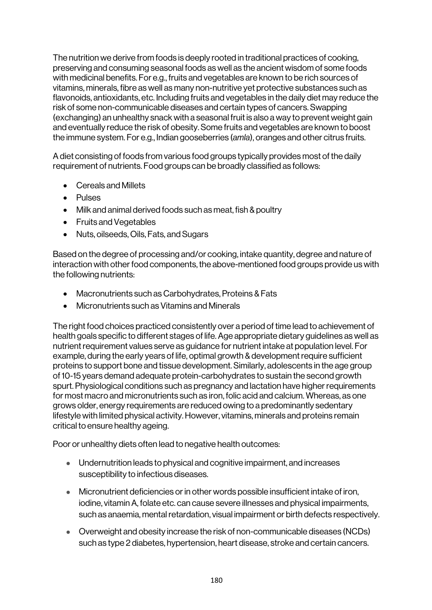The nutrition we derive from foods is deeply rooted in traditional practices of cooking, preserving and consuming seasonal foods as well as the ancient wisdom of some foods with medicinal benefits. For e.g., fruits and vegetables are known to be rich sources of vitamins, minerals, fibre as well as many non-nutritive yet protective substances such as flavonoids, antioxidants, etc. Including fruits and vegetables in the daily diet may reduce the risk of some non-communicable diseases and certain types of cancers. Swapping (exchanging) an unhealthy snack with a seasonal fruit is also a way to prevent weight gain and eventually reduce the risk of obesity. Some fruits and vegetables are known to boost the immune system. For e.g., Indian gooseberries (*amla*), oranges and other citrus fruits.

A diet consisting of foods from various food groups typically provides most of the daily requirement of nutrients. Food groups can be broadly classified as follows:

- Cereals and Millets
- Pulses
- Milk and animal derived foods such as meat, fish & poultry
- Fruits and Vegetables
- Nuts, oilseeds, Oils, Fats, and Sugars

Based on the degree of processing and/or cooking, intake quantity, degree and nature of interaction with other food components, the above-mentioned food groups provide us with the following nutrients:

- Macronutrients such as Carbohydrates, Proteins & Fats
- Micronutrients such as Vitamins and Minerals

The right food choices practiced consistently over a period of time lead to achievement of health goals specific to different stages of life. Age appropriate dietary guidelines as well as nutrient requirement values serve as guidance for nutrient intake at population level. For example, during the early years of life, optimal growth & development require sufficient proteins to support bone and tissue development. Similarly, adolescents in the age group of 10-15 years demand adequate protein-carbohydrates to sustain the second growth spurt. Physiological conditions such as pregnancy and lactation have higher requirements for most macro and micronutrients such as iron, folic acid and calcium. Whereas, as one grows older, energy requirements are reduced owing to a predominantly sedentary lifestyle with limited physical activity. However, vitamins, minerals and proteins remain critical to ensure healthy ageing.

Poor or unhealthy diets often lead to negative health outcomes:

- Undernutrition leads to physical and cognitive impairment, and increases susceptibility to infectious diseases.
- Micronutrient deficiencies or in other words possible insufficient intake of iron, iodine, vitamin A, folate etc. can cause severe illnesses and physical impairments, such as anaemia, mental retardation, visual impairment or birth defects respectively.
- Overweight and obesity increase the risk of non-communicable diseases (NCDs) such as type 2 diabetes, hypertension, heart disease, stroke and certain cancers.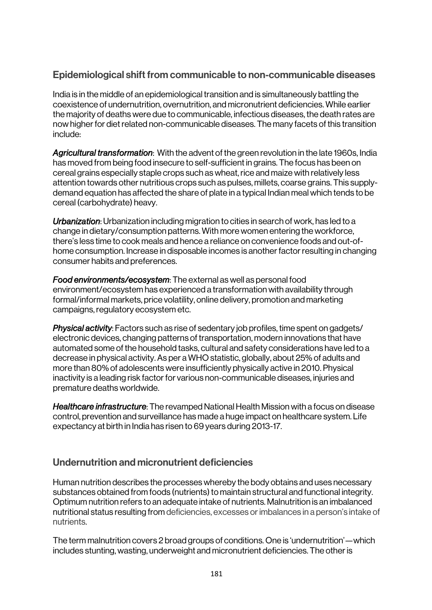# Epidemiological shift from communicable to non-communicable diseases

India is in the middle of an epidemiological transition and is simultaneously battling the coexistence of undernutrition, overnutrition, and micronutrient deficiencies. While earlier the majority of deaths were due to communicable, infectious diseases, the death rates are now higher for diet related non-communicable diseases. The many facets of this transition include:

*Agricultural transformation*: With the advent of the green revolution in the late 1960s, India has moved from being food insecure to self-sufficient in grains. The focus has been on cereal grains especially staple crops such as wheat, rice and maize with relatively less attention towards other nutritious crops such as pulses, millets, coarse grains. This supplydemand equation has affected the share of plate in a typical Indian meal which tends to be cereal (carbohydrate) heavy.

*Urbanization*: Urbanization including migration to cities in search of work, has led to a change in dietary/consumption patterns. With more women entering the workforce, there's less time to cook meals and hence a reliance on convenience foods and out-ofhome consumption. Increase in disposable incomes is another factor resulting in changing consumer habits and preferences.

*Food environments/ecosystem*: The external as well as personal food environment/ecosystem has experienced a transformation with availability through formal/informal markets, price volatility, online delivery, promotion and marketing campaigns, regulatory ecosystem etc.

*Physical activity*: Factors such as rise of sedentary job profiles, time spent on gadgets/ electronic devices, changing patterns of transportation, modern innovations that have automated some of the household tasks, cultural and safety considerations have led to a decrease in physical activity. As per a WHO statistic, globally, about 25% of adults and more than 80% of adolescents were insufficiently physically active in 2010. Physical inactivity is a leading risk factor for various non-communicable diseases, injuries and premature deaths worldwide.

*Healthcare infrastructure*: The revamped National Health Mission with a focus on disease control, prevention and surveillance has made a huge impact on healthcare system. Life expectancy at birth in India has risen to 69 years during 2013-17.

## Undernutrition and micronutrient deficiencies

Human nutrition describes the processes whereby the body obtains and uses necessary substances obtained from foods (nutrients) to maintain structural and functional integrity. Optimum nutrition refers to an adequate intake of nutrients. Malnutrition is an imbalanced nutritional status resulting from deficiencies, excesses or imbalances in a person's intake of nutrients.

The term malnutrition covers 2 broad groups of conditions. One is 'undernutrition'—which includes stunting, wasting, underweight and micronutrient deficiencies. The other is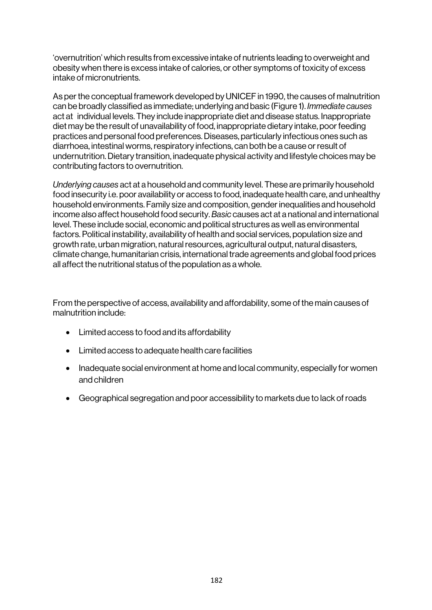'overnutrition' which results from excessive intake of nutrients leading to overweight and obesity when there is excess intake of calories, or other symptoms of toxicity of excess intake of micronutrients.

As per the conceptual framework developed by UNICEF in 1990, the causes of malnutrition can be broadly classified as immediate; underlying and basic (Figure 1). *Immediate causes* act at individual levels. They include inappropriate diet and disease status. Inappropriate diet may be the result of unavailability of food, inappropriate dietary intake, poor feeding practices and personal food preferences. Diseases, particularly infectious ones such as diarrhoea, intestinal worms, respiratory infections, can both be a cause or result of undernutrition. Dietary transition, inadequate physical activity and lifestyle choices may be contributing factors to overnutrition.

*Underlying causes* act at a household and community level. These are primarily household food insecurity i.e. poor availability or access to food, inadequate health care, and unhealthy household environments. Family size and composition, gender inequalities and household income also affect household food security. *Basic* causes act at a national and international level. These include social, economic and political structures as well as environmental factors. Political instability, availability of health and social services, population size and growth rate, urban migration, natural resources, agricultural output, natural disasters, climate change, humanitarian crisis, international trade agreements and global food prices all affect the nutritional status of the population as a whole.

From the perspective of access, availability and affordability, some of the main causes of malnutrition include:

- Limited access to food and its affordability
- Limited access to adequate health care facilities
- Inadequate social environment at home and local community, especially for women and children
- Geographical segregation and poor accessibility to markets due to lack of roads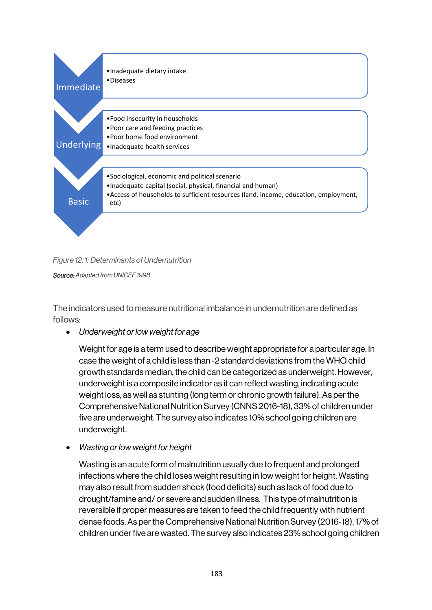

*Figure 12. 1: Determinants of Undernutrition*

*Source: Adapted from UNICEF 1998*

The indicators used to measure nutritional imbalance in undernutrition are defined as follows:

• *Underweight or low weight for age*

Weight for age is a term used to describe weight appropriate for a particular age. In case the weight of a child is less than -2 standard deviations from the WHO child growth standards median, the child can be categorized as underweight. However, underweight is a composite indicator as it can reflect wasting, indicating acute weight loss, as well as stunting (long term or chronic growth failure). As per the Comprehensive National Nutrition Survey (CNNS 2016-18), 33% of children under five are underweight. The survey also indicates 10% school going children are underweight.

• *Wasting or low weight for height*

Wasting is an acute form of malnutrition usually due to frequent and prolonged infections where the child loses weight resulting in low weight for height. Wasting may also result from sudden shock (food deficits) such as lack of food due to drought/famine and/ or severe and sudden illness. This type of malnutrition is reversible if proper measures are taken to feed the child frequently with nutrient dense foods. As per the Comprehensive National Nutrition Survey (2016-18), 17% of children under five are wasted. The survey also indicates 23% school going children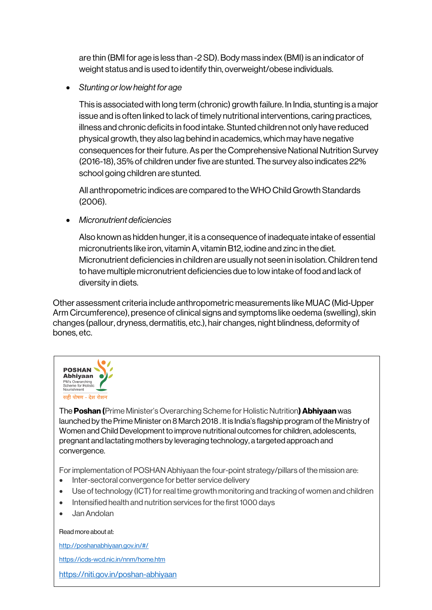are thin (BMI for age is less than -2 SD). Body mass index (BMI) is an indicator of weight status and is used to identify thin, overweight/obese individuals.

• *Stunting or low height for age*

This is associated with long term (chronic) growth failure. In India, stunting is a major issue and is often linked to lack of timely nutritional interventions, caring practices, illness and chronic deficits in food intake. Stunted children not only have reduced physical growth, they also lag behind in academics, which may have negative consequences for their future. As per the Comprehensive National Nutrition Survey (2016-18), 35% of children under five are stunted. The survey also indicates 22% school going children are stunted.

All anthropometric indices are compared to the WHO Child Growth Standards (2006).

• *Micronutrient deficiencies*

Also known as hidden hunger, it is a consequence of inadequate intake of essential micronutrients like iron, vitamin A, vitamin B12, iodine and zinc in the diet. Micronutrient deficiencies in children are usually not seen in isolation. Children tend to have multiple micronutrient deficiencies due to low intake of food and lack of diversity in diets.

Other assessment criteria include anthropometric measurements like MUAC (Mid-Upper Arm Circumference), presence of clinical signs and symptoms like oedema (swelling), skin changes (pallour, dryness, dermatitis, etc.), hair changes, night blindness, deformity of bones, etc.



The Poshan (Prime Minister's Overarching Scheme for Holistic Nutrition) Abhiyaan was launched by the Prime Minister on 8 March 2018 . It is India's flagship program of the Ministry of Women and Child Development to improve nutritional outcomes for children, adolescents, pregnant and lactating mothers by leveraging technology, a targeted approach and convergence.

For implementation of POSHAN Abhiyaan the four-point strategy/pillars of the mission are:

- Inter-sectoral convergence for better service delivery
- Use of technology (ICT) for real time growth monitoring and tracking of women and children
- Intensified health and nutrition services for the first 1000 days
- Jan Andolan

#### Read more about at:

http://poshanabhiyaan.gov.in/#/

https://icds-wcd.nic.in/nnm/home.htm

https://niti.gov.in/poshan-abhiyaan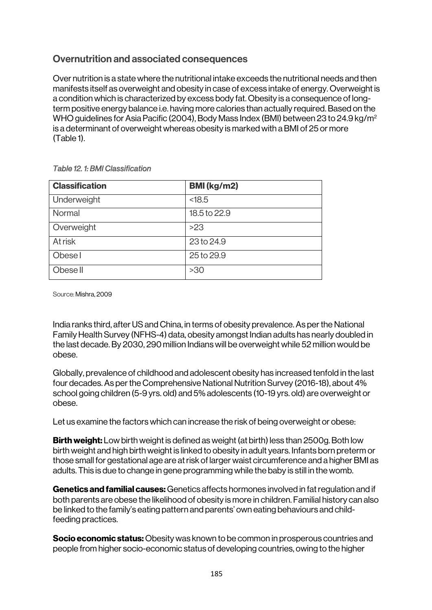# Overnutrition and associated consequences

Over nutrition is a state where the nutritional intake exceeds the nutritional needs and then manifests itself as overweight and obesity in case of excess intake of energy. Overweight is a condition which is characterized by excess body fat. Obesity is a consequence of longterm positive energy balance i.e. having more calories than actually required. Based on the WHO guidelines for Asia Pacific (2004), Body Mass Index (BMI) between 23 to 24.9 kg/m<sup>2</sup> is a determinant of overweight whereas obesity is marked with a BMI of 25 or more (Table 1).

| <b>Classification</b> | <b>BMI</b> (kg/m2) |
|-----------------------|--------------------|
| Underweight           | < 18.5             |
| Normal                | 18.5 to 22.9       |
| Overweight            | >23                |
| <b>At risk</b>        | 23 to 24.9         |
| Obese I               | 25 to 29.9         |
| Obese II              | >30                |

*Table 12. 1: BMI Classification* 

Source: Mishra, 2009

India ranks third, after US and China, in terms of obesity prevalence. As per the National Family Health Survey (NFHS-4) data, obesity amongst Indian adults has nearly doubled in the last decade. By 2030, 290 million Indians will be overweight while 52 million would be obese.

Globally, prevalence of childhood and adolescent obesity has increased tenfold in the last four decades. As per the Comprehensive National Nutrition Survey (2016-18), about 4% school going children (5-9 yrs. old) and 5% adolescents (10-19 yrs. old) are overweight or obese.

Let us examine the factors which can increase the risk of being overweight or obese:

**Birth weight:** Low birth weight is defined as weight (at birth) less than 2500g. Both low birth weight and high birth weight is linked to obesity in adult years. Infants born preterm or those small for gestational age are at risk of larger waist circumference and a higher BMI as adults. This is due to change in gene programming while the baby is still in the womb.

Genetics and familial causes: Genetics affects hormones involved in fat regulation and if both parents are obese the likelihood of obesity is more in children. Familial history can also be linked to the family's eating pattern and parents' own eating behaviours and childfeeding practices.

**Socio economic status:** Obesity was known to be common in prosperous countries and people from higher socio-economic status of developing countries, owing to the higher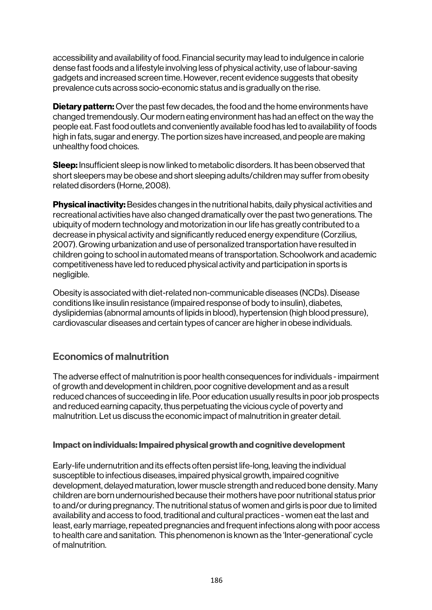accessibility and availability of food. Financial security may lead to indulgence in calorie dense fast foods and a lifestyle involving less of physical activity, use of labour-saving gadgets and increased screen time. However, recent evidence suggests that obesity prevalence cuts across socio-economic status and is gradually on the rise.

**Dietary pattern:** Over the past few decades, the food and the home environments have changed tremendously. Our modern eating environment has had an effect on the way the people eat. Fast food outlets and conveniently available food has led to availability of foods high in fats, sugar and energy. The portion sizes have increased, and people are making unhealthy food choices.

Sleep: Insufficient sleep is now linked to metabolic disorders. It has been observed that short sleepers may be obese and short sleeping adults/children may suffer from obesity related disorders (Horne, 2008).

**Physical inactivity:** Besides changes in the nutritional habits, daily physical activities and recreational activities have also changed dramatically over the past two generations. The ubiquity of modern technology and motorization in our life has greatly contributed to a decrease in physical activity and significantly reduced energy expenditure (Corzilius, 2007). Growing urbanization and use of personalized transportation have resulted in children going to school in automated means of transportation. Schoolwork and academic competitiveness have led to reduced physical activity and participation in sports is negligible.

Obesity is associated with diet-related non-communicable diseases (NCDs). Disease conditions like insulin resistance (impaired response of body to insulin), diabetes, dyslipidemias (abnormal amounts of lipids in blood), hypertension (high blood pressure), cardiovascular diseases and certain types of cancer are higher in obese individuals.

## Economics of malnutrition

The adverse effect of malnutrition is poor health consequences for individuals -impairment of growth and development in children, poor cognitive development and as a result reduced chances of succeeding in life. Poor education usually results in poor job prospects and reduced earning capacity, thus perpetuating the vicious cycle of poverty and malnutrition. Let us discuss the economic impact of malnutrition in greater detail.

#### Impact on individuals: Impaired physical growth and cognitive development

Early-life undernutrition and its effects often persist life-long, leaving the individual susceptible to infectious diseases, impaired physical growth, impaired cognitive development, delayed maturation, lower muscle strength and reduced bone density. Many children are born undernourished because their mothers have poor nutritional status prior to and/or during pregnancy. The nutritional status of women and girls is poor due to limited availability and access to food, traditional and cultural practices - women eat the last and least, early marriage, repeated pregnancies and frequent infections along with poor access to health care and sanitation. This phenomenon is known as the 'Inter-generational' cycle of malnutrition.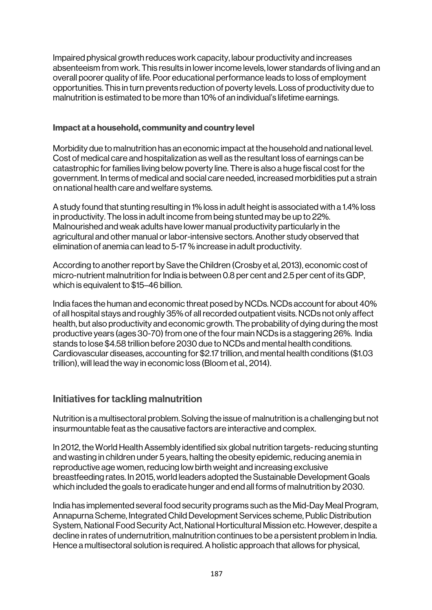Impaired physical growth reduces work capacity, labour productivity and increases absenteeism from work. This results in lower income levels, lower standards of living and an overall poorer quality of life. Poor educational performance leads to loss of employment opportunities. This in turn prevents reduction of poverty levels. Loss of productivity due to malnutrition is estimated to be more than 10% of an individual's lifetime earnings.

### Impact at a household, community and country level

Morbidity due to malnutrition has an economic impact at the household and national level. Cost of medical care and hospitalization as well as the resultant loss of earnings can be catastrophic for families living below poverty line. There is also a huge fiscal cost for the government. In terms of medical and social care needed, increased morbidities put a strain on national health care and welfare systems.

A study found that stunting resulting in 1% loss in adult height is associated with a 1.4% loss in productivity. The loss in adult income from being stunted may be up to 22%. Malnourished and weak adults have lower manual productivity particularly in the agricultural and other manual or labor-intensive sectors. Another study observed that elimination of anemia can lead to 5-17 % increase in adult productivity.

According to another report by Save the Children (Crosby et al, 2013), economic cost of micro-nutrient malnutrition for India is between 0.8 per cent and 2.5 per cent of its GDP, which is equivalent to \$15–46 billion.

India faces the human and economic threat posed by NCDs. NCDs account for about 40% of all hospital stays and roughly 35% of all recorded outpatient visits. NCDs not only affect health, but also productivity and economic growth. The probability of dying during the most productive years (ages 30-70) from one of the four main NCDs is a staggering 26%. India stands to lose \$4.58 trillion before 2030 due to NCDs and mental health conditions. Cardiovascular diseases, accounting for \$2.17 trillion, and mental health conditions (\$1.03 trillion), will lead the way in economic loss (Bloom et al., 2014).

## Initiatives for tackling malnutrition

Nutrition is a multisectoral problem.Solving the issue of malnutrition is a challenging but not insurmountable feat as the causative factors are interactive and complex.

In 2012, the World Health Assembly identified six global nutrition targets-reducing stunting and wasting in children under 5 years, halting the obesity epidemic, reducing anemia in reproductive age women, reducing low birth weight and increasing exclusive breastfeeding rates. In 2015, world leaders adopted the Sustainable Development Goals which included the goals to eradicate hunger and end all forms of malnutrition by 2030.

India has implemented several food security programs such as the Mid-Day Meal Program, Annapurna Scheme, Integrated Child Development Services scheme, Public Distribution System, National Food Security Act, National Horticultural Mission etc. However, despite a decline in rates of undernutrition, malnutrition continues to be a persistent problem in India. Hence a multisectoral solution is required. A holistic approach that allows for physical,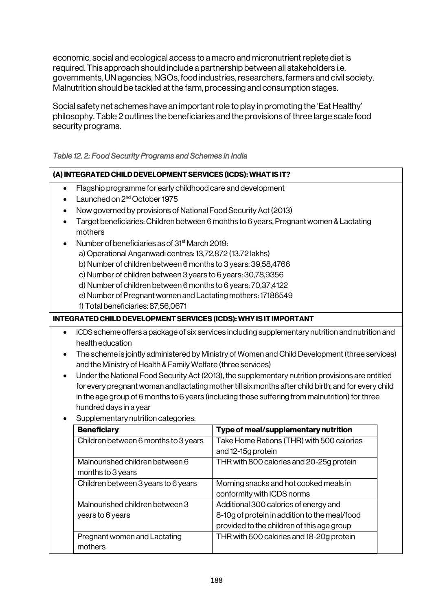economic, social and ecological access to a macro and micronutrient replete diet is required. This approach should include a partnership between all stakeholders i.e. governments, UN agencies, NGOs, food industries, researchers, farmers and civil society. Malnutrition should be tackled at the farm, processing and consumption stages.

Social safety net schemes have an important role to play in promoting the 'Eat Healthy' philosophy. Table 2 outlines the beneficiaries and the provisions of three large scale food security programs.

|           | (A) INTEGRATED CHILD DEVELOPMENT SERVICES (ICDS): WHAT IS IT?                                                                                                  |                                            |  |  |  |  |  |
|-----------|----------------------------------------------------------------------------------------------------------------------------------------------------------------|--------------------------------------------|--|--|--|--|--|
| $\bullet$ | Flagship programme for early childhood care and development                                                                                                    |                                            |  |  |  |  |  |
| $\bullet$ | Launched on 2 <sup>nd</sup> October 1975                                                                                                                       |                                            |  |  |  |  |  |
| $\bullet$ | Now governed by provisions of National Food Security Act (2013)                                                                                                |                                            |  |  |  |  |  |
|           | Target beneficiaries: Children between 6 months to 6 years, Pregnant women & Lactating<br>mothers                                                              |                                            |  |  |  |  |  |
|           | Number of beneficiaries as of 31 <sup>st</sup> March 2019:                                                                                                     |                                            |  |  |  |  |  |
|           | a) Operational Anganwadi centres: 13,72,872 (13.72 lakhs)                                                                                                      |                                            |  |  |  |  |  |
|           | b) Number of children between 6 months to 3 years: 39,58,4766                                                                                                  |                                            |  |  |  |  |  |
|           | c) Number of children between 3 years to 6 years: 30,78,9356                                                                                                   |                                            |  |  |  |  |  |
|           | d) Number of children between 6 months to 6 years: 70,37,4122                                                                                                  |                                            |  |  |  |  |  |
|           | e) Number of Pregnant women and Lactating mothers: 17186549                                                                                                    |                                            |  |  |  |  |  |
|           | f) Total beneficiaries: 87,56,0671                                                                                                                             |                                            |  |  |  |  |  |
|           | INTEGRATED CHILD DEVELOPMENT SERVICES (ICDS): WHY IS IT IMPORTANT                                                                                              |                                            |  |  |  |  |  |
|           | ICDS scheme offers a package of six services including supplementary nutrition and nutrition and                                                               |                                            |  |  |  |  |  |
|           | health education                                                                                                                                               |                                            |  |  |  |  |  |
| $\bullet$ | The scheme is jointly administered by Ministry of Women and Child Development (three services)<br>and the Ministry of Health & Family Welfare (three services) |                                            |  |  |  |  |  |
| $\bullet$ | Under the National Food Security Act (2013), the supplementary nutrition provisions are entitled                                                               |                                            |  |  |  |  |  |
|           | for every pregnant woman and lactating mother till six months after child birth; and for every child                                                           |                                            |  |  |  |  |  |
|           | in the age group of 6 months to 6 years (including those suffering from malnutrition) for three                                                                |                                            |  |  |  |  |  |
|           | hundred days in a year                                                                                                                                         |                                            |  |  |  |  |  |
|           | Supplementary nutrition categories:                                                                                                                            |                                            |  |  |  |  |  |
|           | <b>Beneficiary</b>                                                                                                                                             | Type of meal/supplementary nutrition       |  |  |  |  |  |
|           | Children between 6 months to 3 years                                                                                                                           | Take Home Rations (THR) with 500 calories  |  |  |  |  |  |
|           |                                                                                                                                                                | and 12-15g protein                         |  |  |  |  |  |
|           | Malnourished children between 6                                                                                                                                | THR with 800 calories and 20-25g protein   |  |  |  |  |  |
|           | months to 3 years                                                                                                                                              |                                            |  |  |  |  |  |
|           | Children between 3 years to 6 years                                                                                                                            | Morning snacks and hot cooked meals in     |  |  |  |  |  |
|           |                                                                                                                                                                | conformity with ICDS norms                 |  |  |  |  |  |
|           | Malnourished children between 3<br>years to 6 years                                                                                                            | Additional 300 calories of energy and      |  |  |  |  |  |
|           | 8-10g of protein in addition to the meal/food                                                                                                                  |                                            |  |  |  |  |  |
|           |                                                                                                                                                                | provided to the children of this age group |  |  |  |  |  |

THR with 600 calories and 18-20g protein

Pregnant women and Lactating

mothers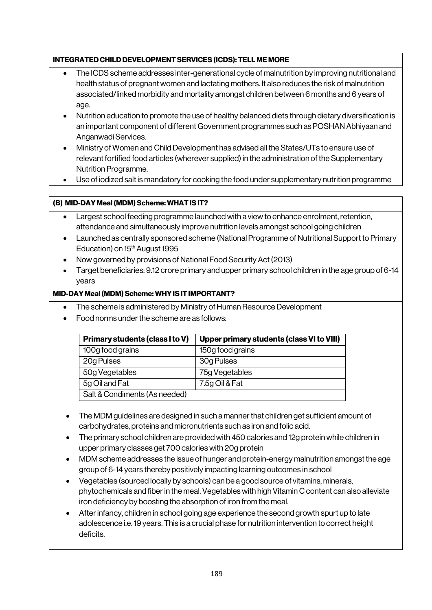#### INTEGRATED CHILD DEVELOPMENT SERVICES (ICDS): TELL ME MORE

- The ICDS scheme addresses inter-generational cycle of malnutrition by improving nutritional and health status of pregnant women and lactating mothers. It also reduces the risk of malnutrition associated/linked morbidity and mortality amongst children between 6 months and 6 years of age.
- Nutrition education to promote the use of healthy balanced diets through dietary diversification is an important component of different Government programmes such as POSHAN Abhiyaan and Anganwadi Services.
- Ministry of Women and Child Development has advised all the States/UTs to ensure use of relevant fortified food articles (wherever supplied) in the administration of the Supplementary Nutrition Programme.
- Use of iodized salt is mandatory for cooking the food under supplementary nutrition programme

### (B) MID-DAY Meal (MDM) Scheme: WHAT IS IT?

- Largest school feeding programme launched with a view to enhance enrolment, retention, attendance and simultaneously improve nutrition levels amongst school going children
- Launched as centrally sponsored scheme (National Programme of Nutritional Support to Primary Education) on 15<sup>th</sup> August 1995
- Now governed by provisions of National Food Security Act (2013)
- Target beneficiaries: 9.12 crore primary and upper primary school children in the age group of 6-14 years

#### MID-DAY Meal (MDM) Scheme: WHY IS IT IMPORTANT?

- The scheme is administered by Ministry of Human Resource Development
- Food norms under the scheme are as follows:

| <b>Primary students (class I to V)</b> | Upper primary students (class VI to VIII) |
|----------------------------------------|-------------------------------------------|
| 100g food grains                       | 150g food grains                          |
| 20g Pulses                             | 30g Pulses                                |
| 50g Vegetables                         | 75g Vegetables                            |
| 5g Oil and Fat                         | 7.5g Oil & Fat                            |
| Salt & Condiments (As needed)          |                                           |

- The MDM guidelines are designed in such a manner that children get sufficient amount of carbohydrates, proteins and micronutrients such as iron and folic acid.
- The primary school children are provided with 450 calories and 12g protein while children in upper primary classes get 700 calories with 20g protein
- MDM scheme addresses the issue of hunger and protein-energy malnutrition amongst the age group of 6-14 years thereby positively impacting learning outcomes in school
- Vegetables (sourced locally by schools) can be a good source of vitamins, minerals, phytochemicals and fiber in the meal. Vegetables with high Vitamin C content can also alleviate iron deficiency by boosting the absorption of iron from the meal.
- After infancy, children in school going age experience the second growth spurt up to late adolescence i.e. 19 years. This is a crucial phase for nutrition intervention to correct height deficits.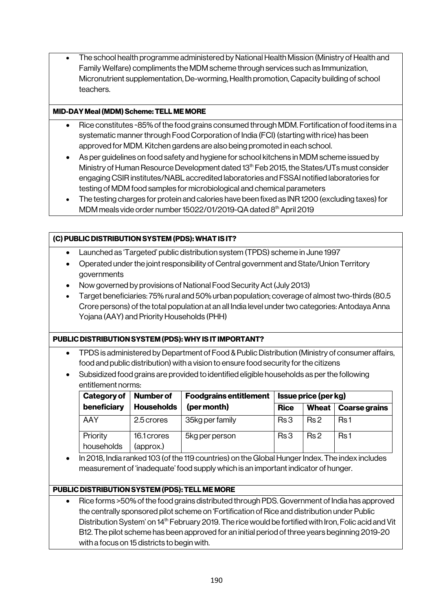• The school health programme administered by National Health Mission (Ministry of Health and Family Welfare) compliments the MDM scheme through services such as Immunization, Micronutrient supplementation, De-worming, Health promotion, Capacity building of school teachers.

#### MID-DAY Meal (MDM) Scheme: TELL ME MORE

- Rice constitutes ~85% of the food grains consumed through MDM. Fortification of food items in a systematic manner through Food Corporation of India (FCI) (starting with rice) has been approved for MDM. Kitchen gardens are also being promoted in each school.
- As per guidelines on food safety and hygiene for school kitchens in MDM scheme issued by Ministry of Human Resource Development dated 13th Feb 2015, the States/UTs must consider engaging CSIR institutes/NABL accredited laboratories and FSSAI notified laboratories for testing of MDM food samples for microbiological and chemical parameters
- The testing charges for protein and calories have been fixed as INR 1200 (excluding taxes) for MDM meals vide order number 15022/01/2019-QA dated 8<sup>th</sup> April 2019

#### (C) PUBLIC DISTRIBUTION SYSTEM (PDS): WHAT IS IT?

- Launched as 'Targeted' public distribution system (TPDS) scheme in June 1997
- Operated under the joint responsibility of Central government and State/Union Territory governments
- Now governed by provisions of National Food Security Act (July 2013)
- Target beneficiaries: 75% rural and 50% urban population; coverage of almost two-thirds (80.5 Crore persons) of the total population at an all India level under two categories: Antodaya Anna Yojana (AAY) and Priority Households (PHH)

#### PUBLIC DISTRIBUTION SYSTEM (PDS): WHY IS IT IMPORTANT?

- TPDS is administered by Department of Food & Public Distribution (Ministry of consumer affairs, food and public distribution) with a vision to ensure food security for the citizens
- Subsidized food grains are provided to identified eligible households as per the following entitlement norms:

| <b>Number of</b><br>Category of |                   | <b>Foodgrains entitlement</b> | <b>Issue price (per kg)</b> |                 |                      |
|---------------------------------|-------------------|-------------------------------|-----------------------------|-----------------|----------------------|
| beneficiary                     | <b>Households</b> | (per month)                   | <b>Rice</b>                 | <b>Wheat</b>    | <b>Coarse grains</b> |
| AAY                             | 2.5 crores        | 35kg per family               | Rs 3                        | Rs <sub>2</sub> | Rs <sub>1</sub>      |
| Priority                        | 16.1 crores       | 5kg per person                | Rs <sub>3</sub>             | Rs <sub>2</sub> | Rs <sub>1</sub>      |
| households                      | (approx.)         |                               |                             |                 |                      |

• In 2018, India ranked 103 (of the 119 countries) on the Global Hunger Index. The index includes measurement of 'inadequate' food supply which is an important indicator of hunger.

#### PUBLIC DISTRIBUTION SYSTEM (PDS): TELL ME MORE

• Rice forms >50% of the food grains distributed through PDS. Government of India has approved the centrally sponsored pilot scheme on 'Fortification of Rice and distribution under Public Distribution System' on 14<sup>th</sup> February 2019. The rice would be fortified with Iron, Folic acid and Vit B12. The pilot scheme has been approved for an initial period of three years beginning 2019-20 with a focus on 15 districts to begin with.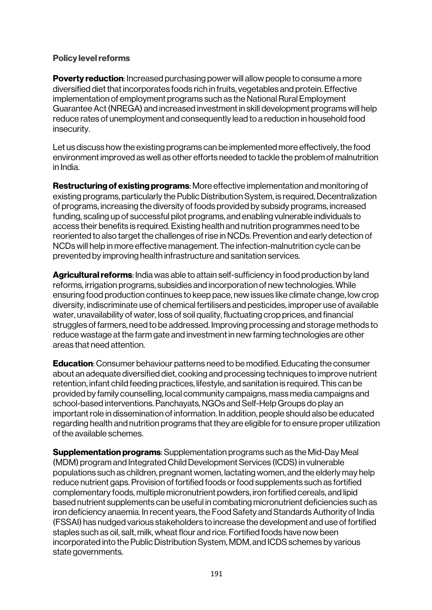### Policy level reforms

**Poverty reduction:** Increased purchasing power will allow people to consume a more diversified diet that incorporates foods rich in fruits, vegetables and protein. Effective implementation of employment programs such as the National Rural Employment Guarantee Act (NREGA) and increased investment in skill development programs will help reduce rates of unemployment and consequently lead to a reduction in household food insecurity.

Let us discuss how the existing programs can be implemented more effectively, the food environment improved as well as other efforts needed to tackle the problem of malnutrition in India.

Restructuring of existing programs: More effective implementation and monitoring of existing programs, particularly the Public Distribution System, is required, Decentralization of programs, increasing the diversity of foods provided by subsidy programs, increased funding, scaling up of successful pilot programs, and enabling vulnerable individuals to access their benefits is required. Existing health and nutrition programmes need to be reoriented to also target the challenges of rise in NCDs. Prevention and early detection of NCDs will help in more effective management. The infection-malnutrition cycle can be prevented by improving health infrastructure and sanitation services.

Agricultural reforms: India was able to attain self-sufficiency in food production by land reforms, irrigation programs, subsidies and incorporation of new technologies. While ensuring food production continues to keep pace, new issues like climate change, low crop diversity, indiscriminate use of chemical fertilisers and pesticides, improper use of available water, unavailability of water, loss of soil quality, fluctuating crop prices, and financial struggles of farmers, need to be addressed. Improving processing and storage methods to reduce wastage at the farm gate and investment in new farming technologies are other areas that need attention.

**Education:** Consumer behaviour patterns need to be modified. Educating the consumer about an adequate diversified diet, cooking and processing techniques to improve nutrient retention, infant child feeding practices, lifestyle, and sanitation is required. This can be provided by family counselling, local community campaigns, mass media campaigns and school-based interventions. Panchayats, NGOs and Self-Help Groups do play an important role in dissemination of information. In addition, people should also be educated regarding health and nutrition programs that they are eligible for to ensure proper utilization of the available schemes.

**Supplementation programs:** Supplementation programs such as the Mid-Day Meal (MDM) program and Integrated Child Development Services (ICDS) in vulnerable populations such as children, pregnant women, lactating women, and the elderly may help reduce nutrient gaps. Provision of fortified foods or food supplements such as fortified complementary foods, multiple micronutrient powders, iron fortified cereals, and lipid based nutrient supplements can be useful in combating micronutrient deficiencies such as iron deficiency anaemia. In recent years, the Food Safety and Standards Authority of India (FSSAI) has nudged various stakeholders to increase the development and use of fortified staples such as oil, salt, milk, wheat flour and rice. Fortified foods have now been incorporated into the Public Distribution System, MDM, and ICDS schemes by various state governments.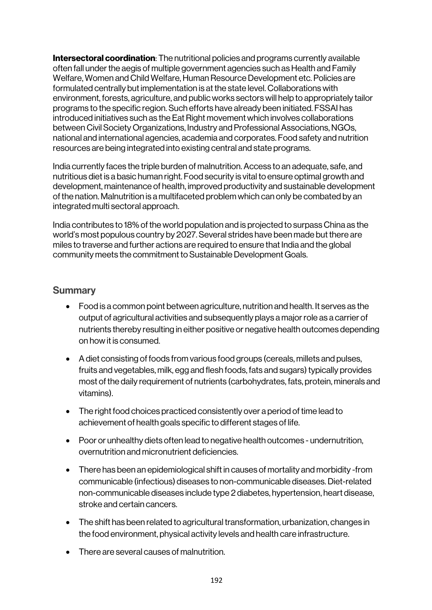**Intersectoral coordination**: The nutritional policies and programs currently available often fall under the aegis of multiple government agencies such as Health and Family Welfare, Women and Child Welfare, Human Resource Development etc. Policies are formulated centrally but implementation is at the state level. Collaborations with environment, forests, agriculture, and public works sectors will help to appropriately tailor programs to the specific region. Such efforts have already been initiated. FSSAI has introduced initiatives such as the Eat Right movement which involves collaborations between Civil Society Organizations, Industry and Professional Associations, NGOs, national and international agencies, academia and corporates. Food safety and nutrition resources are being integrated into existing central and state programs.

India currently faces the triple burden of malnutrition. Access to an adequate, safe, and nutritious diet is a basic human right. Food security is vital to ensure optimal growth and development, maintenance of health, improved productivity and sustainable development of the nation. Malnutrition is a multifaceted problem which can only be combated by an integrated multi sectoral approach.

India contributes to 18% of the world population and is projected to surpass China as the world's most populous country by 2027. Several strides have been made but there are miles to traverse and further actions are required to ensure that India and the global community meets the commitment to Sustainable Development Goals.

### **Summary**

- Food is a common point between agriculture, nutrition and health. It serves as the output of agricultural activities and subsequently plays a major role as a carrier of nutrients thereby resulting in either positive or negative health outcomes depending on how it is consumed.
- A diet consisting of foods from various food groups (cereals, millets and pulses, fruits and vegetables, milk, egg and flesh foods, fats and sugars) typically provides most of the daily requirement of nutrients (carbohydrates, fats, protein, minerals and vitamins).
- The right food choices practiced consistently over a period of time lead to achievement of health goals specific to different stages of life.
- Poor or unhealthy diets often lead to negative health outcomes undernutrition, overnutrition and micronutrient deficiencies.
- There has been an epidemiological shift in causes of mortality and morbidity -from communicable (infectious) diseases to non-communicable diseases. Diet-related non-communicable diseases include type 2 diabetes, hypertension, heart disease, stroke and certain cancers.
- The shift has been related to agricultural transformation, urbanization, changes in the food environment, physical activity levels and health care infrastructure.
- There are several causes of malnutrition.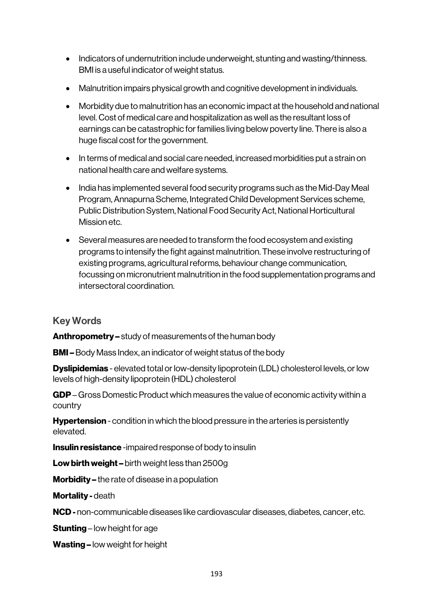- Indicators of undernutrition include underweight, stunting and wasting/thinness. BMI is a useful indicator of weight status.
- Malnutrition impairs physical growth and cognitive development in individuals.
- Morbidity due to malnutrition has an economic impact at the household and national level. Cost of medical care and hospitalization as well as the resultant loss of earnings can be catastrophic for families living below poverty line. There is also a huge fiscal cost for the government.
- In terms of medical and social care needed, increased morbidities put a strain on national health care and welfare systems.
- India has implemented several food security programs such as the Mid-Day Meal Program, Annapurna Scheme, Integrated Child Development Services scheme, Public Distribution System, National Food Security Act, National Horticultural Mission etc.
- Several measures are needed to transform the food ecosystem and existing programs to intensify the fight against malnutrition. These involve restructuring of existing programs, agricultural reforms, behaviour change communication, focussing on micronutrient malnutrition in the food supplementation programs and intersectoral coordination.

### Key Words

Anthropometry – study of measurements of the human body

**BMI –** Body Mass Index, an indicator of weight status of the body

**Dyslipidemias** - elevated total or low-density lipoprotein (LDL) cholesterol levels, or low levels of high-density lipoprotein (HDL) cholesterol

GDP– Gross Domestic Product which measures the value of economic activity within a country

**Hypertension** - condition in which the blood pressure in the arteries is persistently elevated.

**Insulin resistance** -impaired response of body to insulin

Low birth weight – birth weight less than 2500g

Morbidity – the rate of disease in a population

Mortality - death

NCD - non-communicable diseases like cardiovascular diseases, diabetes, cancer, etc.

**Stunting** – low height for age

Wasting – low weight for height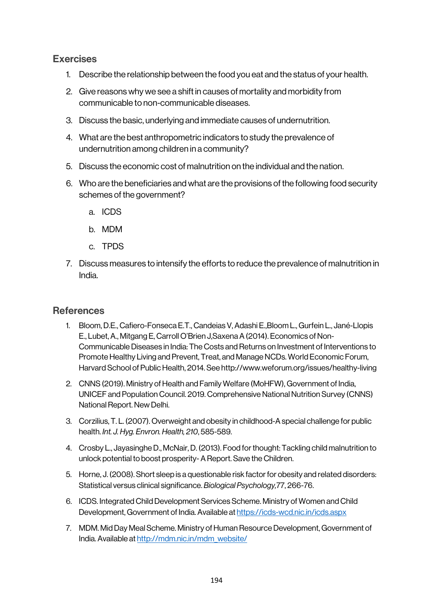# Exercises

- 1. Describe the relationship between the food you eat and the status of your health.
- 2. Give reasons why we see a shift in causes of mortality and morbidity from communicable to non-communicable diseases.
- 3. Discuss the basic, underlying and immediate causes of undernutrition.
- 4. What are the best anthropometric indicators to study the prevalence of undernutrition among children in a community?
- 5. Discuss the economic cost of malnutrition on the individual and the nation.
- 6. Who are the beneficiaries and what are the provisions of the following food security schemes of the government?
	- a. ICDS
	- b. MDM
	- c. TPDS
- 7. Discuss measures to intensify the efforts to reduce the prevalence of malnutrition in India.

### **References**

- 1. Bloom, D.E., Cafiero-Fonseca E.T., Candeias V, Adashi E.,Bloom L., Gurfein L., Jané-Llopis E., Lubet, A., Mitgang E, Carroll O'Brien J,Saxena A (2014). Economics of Non-Communicable Diseases in India: The Costs and Returns on Investment of Interventions to Promote Healthy Living and Prevent, Treat, and Manage NCDs. World Economic Forum, Harvard School of Public Health, 2014. See http://www.weforum.org/issues/healthy-living
- 2. CNNS (2019). Ministry of Health and Family Welfare (MoHFW), Government of India, UNICEF and Population Council. 2019. Comprehensive National Nutrition Survey (CNNS) National Report. New Delhi.
- 3. Corzilius, T. L. (2007). Overweight and obesity in childhood-A special challenge for public health. *Int. J. Hyg. Envron. Health, 210*, 585-589.
- 4. Crosby L., Jayasinghe D., McNair, D. (2013). Food for thought: Tackling child malnutrition to unlock potential to boost prosperity-A Report. Save the Children.
- 5. Horne, J. (2008). Short sleep is a questionable risk factor for obesity and related disorders: Statistical versus clinical significance. *Biological Psychology,*77, 266-76.
- 6. ICDS. Integrated Child Development Services Scheme. Ministry of Women and Child Development, Government of India. Available at https://icds-wcd.nic.in/icds.aspx
- 7. MDM. Mid Day Meal Scheme. Ministry of Human Resource Development, Government of India. Available at http://mdm.nic.in/mdm\_website/